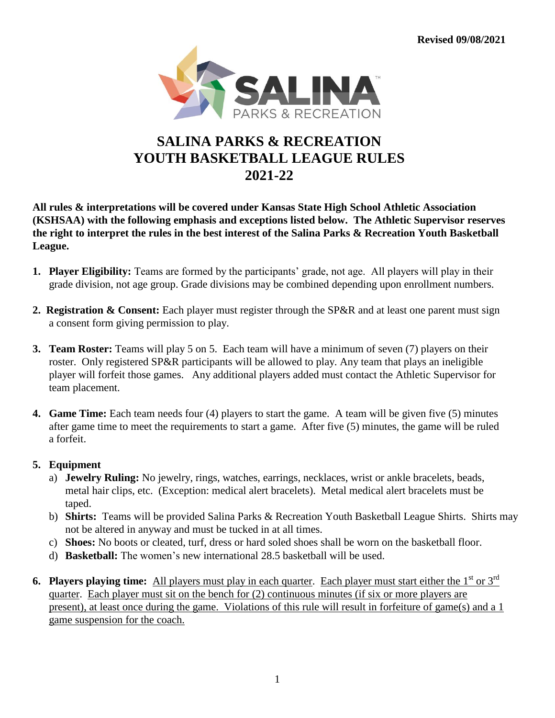**Revised 09/08/2021**



## **SALINA PARKS & RECREATION YOUTH BASKETBALL LEAGUE RULES 2021-22**

**All rules & interpretations will be covered under Kansas State High School Athletic Association (KSHSAA) with the following emphasis and exceptions listed below. The Athletic Supervisor reserves the right to interpret the rules in the best interest of the Salina Parks & Recreation Youth Basketball League.**

- **1. Player Eligibility:** Teams are formed by the participants' grade, not age. All players will play in their grade division, not age group. Grade divisions may be combined depending upon enrollment numbers.
- **2. Registration & Consent:** Each player must register through the SP&R and at least one parent must sign a consent form giving permission to play.
- **3. Team Roster:** Teams will play 5 on 5. Each team will have a minimum of seven (7) players on their roster. Only registered SP&R participants will be allowed to play. Any team that plays an ineligible player will forfeit those games. Any additional players added must contact the Athletic Supervisor for team placement.
- **4. Game Time:** Each team needs four (4) players to start the game. A team will be given five (5) minutes after game time to meet the requirements to start a game. After five (5) minutes, the game will be ruled a forfeit.

## **5. Equipment**

- a) **Jewelry Ruling:** No jewelry, rings, watches, earrings, necklaces, wrist or ankle bracelets, beads, metal hair clips, etc. (Exception: medical alert bracelets). Metal medical alert bracelets must be taped.
- b) **Shirts:** Teams will be provided Salina Parks & Recreation Youth Basketball League Shirts. Shirts may not be altered in anyway and must be tucked in at all times.
- c) **Shoes:** No boots or cleated, turf, dress or hard soled shoes shall be worn on the basketball floor.
- d) **Basketball:** The women's new international 28.5 basketball will be used.
- **6. Players playing time:** All players must play in each quarter. Each player must start either the 1<sup>st</sup> or 3<sup>rd</sup> quarter. Each player must sit on the bench for (2) continuous minutes (if six or more players are present), at least once during the game. Violations of this rule will result in forfeiture of game(s) and a 1 game suspension for the coach.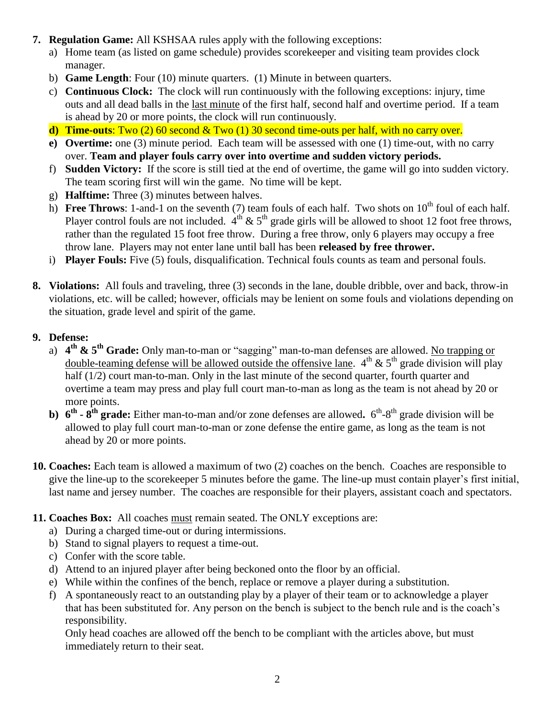- **7. Regulation Game:** All KSHSAA rules apply with the following exceptions:
	- a) Home team (as listed on game schedule) provides scorekeeper and visiting team provides clock manager.
	- b) **Game Length**: Four (10) minute quarters. (1) Minute in between quarters.
	- c) **Continuous Clock:** The clock will run continuously with the following exceptions: injury, time outs and all dead balls in the last minute of the first half, second half and overtime period. If a team is ahead by 20 or more points, the clock will run continuously.
	- **d) Time-outs**: Two (2) 60 second & Two (1) 30 second time-outs per half, with no carry over.
	- **e) Overtime:** one (3) minute period. Each team will be assessed with one (1) time-out, with no carry over. **Team and player fouls carry over into overtime and sudden victory periods.**
	- f) **Sudden Victory:** If the score is still tied at the end of overtime, the game will go into sudden victory. The team scoring first will win the game. No time will be kept.
	- g) **Halftime:** Three (3) minutes between halves.
	- h) **Free Throws**: 1-and-1 on the seventh (7) team fouls of each half. Two shots on  $10^{th}$  foul of each half. Player control fouls are not included.  $4<sup>th</sup>$  & 5<sup>th</sup> grade girls will be allowed to shoot 12 foot free throws, rather than the regulated 15 foot free throw. During a free throw, only 6 players may occupy a free throw lane. Players may not enter lane until ball has been **released by free thrower.**
	- i) **Player Fouls:** Five (5) fouls, disqualification. Technical fouls counts as team and personal fouls.
- **8. Violations:** All fouls and traveling, three (3) seconds in the lane, double dribble, over and back, throw-in violations, etc. will be called; however, officials may be lenient on some fouls and violations depending on the situation, grade level and spirit of the game.
- **9. Defense:**
	- a) **4 th & 5th Grade:** Only man-to-man or "sagging" man-to-man defenses are allowed. No trapping or double-teaming defense will be allowed outside the offensive lane.  $4<sup>th</sup>$  &  $5<sup>th</sup>$  grade division will play half (1/2) court man-to-man. Only in the last minute of the second quarter, fourth quarter and overtime a team may press and play full court man-to-man as long as the team is not ahead by 20 or more points.
	- **b)**  $6^{th}$   $8^{th}$  grade: Either man-to-man and/or zone defenses are allowed.  $6^{th}$ - $8^{th}$  grade division will be allowed to play full court man-to-man or zone defense the entire game, as long as the team is not ahead by 20 or more points.
- **10. Coaches:** Each team is allowed a maximum of two (2) coaches on the bench. Coaches are responsible to give the line-up to the scorekeeper 5 minutes before the game. The line-up must contain player's first initial, last name and jersey number. The coaches are responsible for their players, assistant coach and spectators.
- **11. Coaches Box:** All coaches must remain seated. The ONLY exceptions are:
	- a) During a charged time-out or during intermissions.
	- b) Stand to signal players to request a time-out.
	- c) Confer with the score table.
	- d) Attend to an injured player after being beckoned onto the floor by an official.
	- e) While within the confines of the bench, replace or remove a player during a substitution.
	- f) A spontaneously react to an outstanding play by a player of their team or to acknowledge a player that has been substituted for. Any person on the bench is subject to the bench rule and is the coach's responsibility.

Only head coaches are allowed off the bench to be compliant with the articles above, but must immediately return to their seat.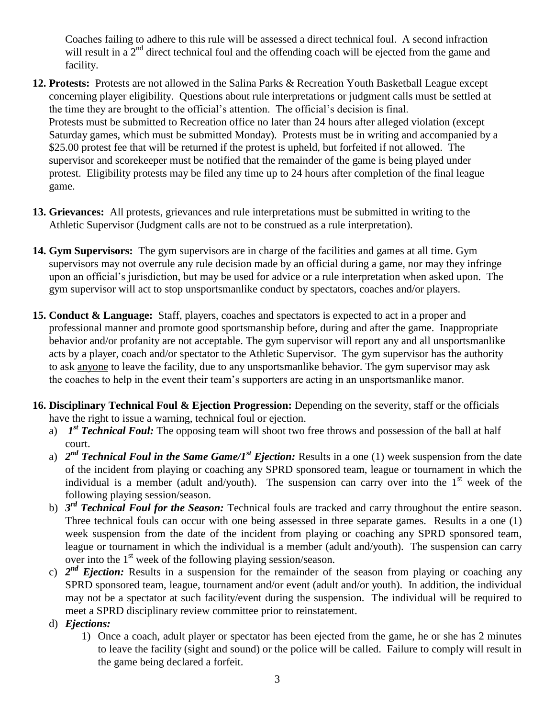Coaches failing to adhere to this rule will be assessed a direct technical foul. A second infraction will result in a  $2<sup>nd</sup>$  direct technical foul and the offending coach will be ejected from the game and facility.

- **12. Protests:** Protests are not allowed in the Salina Parks & Recreation Youth Basketball League except concerning player eligibility.Questions about rule interpretations or judgment calls must be settled at the time they are brought to the official's attention. The official's decision is final. Protests must be submitted to Recreation office no later than 24 hours after alleged violation (except Saturday games, which must be submitted Monday). Protests must be in writing and accompanied by a \$25.00 protest fee that will be returned if the protest is upheld, but forfeited if not allowed. The supervisor and scorekeeper must be notified that the remainder of the game is being played under protest. Eligibility protests may be filed any time up to 24 hours after completion of the final league game.
- **13. Grievances:** All protests, grievances and rule interpretations must be submitted in writing to the Athletic Supervisor (Judgment calls are not to be construed as a rule interpretation).
- **14. Gym Supervisors:** The gym supervisors are in charge of the facilities and games at all time. Gym supervisors may not overrule any rule decision made by an official during a game, nor may they infringe upon an official's jurisdiction, but may be used for advice or a rule interpretation when asked upon.The gym supervisor will act to stop unsportsmanlike conduct by spectators, coaches and/or players.
- **15. Conduct & Language:** Staff, players, coaches and spectators is expected to act in a proper and professional manner and promote good sportsmanship before, during and after the game. Inappropriate behavior and/or profanity are not acceptable. The gym supervisor will report any and all unsportsmanlike acts by a player, coach and/or spectator to the Athletic Supervisor.The gym supervisor has the authority to ask anyone to leave the facility, due to any unsportsmanlike behavior. The gym supervisor may ask the coaches to help in the event their team's supporters are acting in an unsportsmanlike manor.
- **16. Disciplinary Technical Foul & Ejection Progression:** Depending on the severity, staff or the officials have the right to issue a warning, technical foul or ejection.
	- a) *1<sup>st</sup> Technical Foul:* The opposing team will shoot two free throws and possession of the ball at half court.
	- a) 2<sup>nd</sup> Technical Foul in the Same Game/1<sup>st</sup> Ejection: Results in a one (1) week suspension from the date of the incident from playing or coaching any SPRD sponsored team, league or tournament in which the individual is a member (adult and/youth). The suspension can carry over into the  $1<sup>st</sup>$  week of the following playing session/season.
	- b) *3 rd Technical Foul for the Season:* Technical fouls are tracked and carry throughout the entire season. Three technical fouls can occur with one being assessed in three separate games. Results in a one (1) week suspension from the date of the incident from playing or coaching any SPRD sponsored team, league or tournament in which the individual is a member (adult and/youth). The suspension can carry over into the 1<sup>st</sup> week of the following playing session/season.
	- c)  $2^{nd}$  *Ejection:* Results in a suspension for the remainder of the season from playing or coaching any SPRD sponsored team, league, tournament and/or event (adult and/or youth). In addition, the individual may not be a spectator at such facility/event during the suspension. The individual will be required to meet a SPRD disciplinary review committee prior to reinstatement.
	- d) *Ejections:*
		- 1) Once a coach, adult player or spectator has been ejected from the game, he or she has 2 minutes to leave the facility (sight and sound) or the police will be called. Failure to comply will result in the game being declared a forfeit.